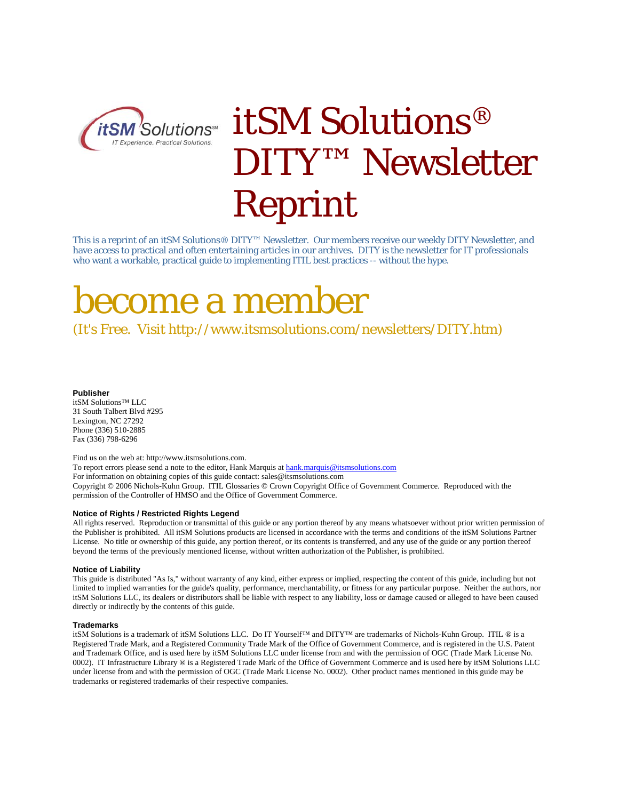

# itSM Solutions® DITY™ Newsletter Reprint

This is a reprint of an itSM Solutions® DITY™ Newsletter. Our members receive our weekly DITY Newsletter, and have access to practical and often entertaining articles in our archives. DITY is the newsletter for IT professionals who want a workable, practical guide to implementing ITIL best practices -- without the hype.

# become a member

(It's Free. Visit http://www.itsmsolutions.com/newsletters/DITY.htm)

#### **Publisher**

itSM Solutions™ LLC 31 South Talbert Blvd #295 Lexington, NC 27292 Phone (336) 510-2885 Fax (336) 798-6296

Find us on the web at: http://www.itsmsolutions.com. To report errors please send a note to the editor, Hank Marquis at hank.marquis@itsmsolutions.com For information on obtaining copies of this guide contact: sales@itsmsolutions.com Copyright © 2006 Nichols-Kuhn Group. ITIL Glossaries © Crown Copyright Office of Government Commerce. Reproduced with the permission of the Controller of HMSO and the Office of Government Commerce.

### **Notice of Rights / Restricted Rights Legend**

All rights reserved. Reproduction or transmittal of this guide or any portion thereof by any means whatsoever without prior written permission of the Publisher is prohibited. All itSM Solutions products are licensed in accordance with the terms and conditions of the itSM Solutions Partner License. No title or ownership of this guide, any portion thereof, or its contents is transferred, and any use of the guide or any portion thereof beyond the terms of the previously mentioned license, without written authorization of the Publisher, is prohibited.

### **Notice of Liability**

This guide is distributed "As Is," without warranty of any kind, either express or implied, respecting the content of this guide, including but not limited to implied warranties for the guide's quality, performance, merchantability, or fitness for any particular purpose. Neither the authors, nor itSM Solutions LLC, its dealers or distributors shall be liable with respect to any liability, loss or damage caused or alleged to have been caused directly or indirectly by the contents of this guide.

### **Trademarks**

itSM Solutions is a trademark of itSM Solutions LLC. Do IT Yourself™ and DITY™ are trademarks of Nichols-Kuhn Group. ITIL ® is a Registered Trade Mark, and a Registered Community Trade Mark of the Office of Government Commerce, and is registered in the U.S. Patent and Trademark Office, and is used here by itSM Solutions LLC under license from and with the permission of OGC (Trade Mark License No. 0002). IT Infrastructure Library ® is a Registered Trade Mark of the Office of Government Commerce and is used here by itSM Solutions LLC under license from and with the permission of OGC (Trade Mark License No. 0002). Other product names mentioned in this guide may be trademarks or registered trademarks of their respective companies.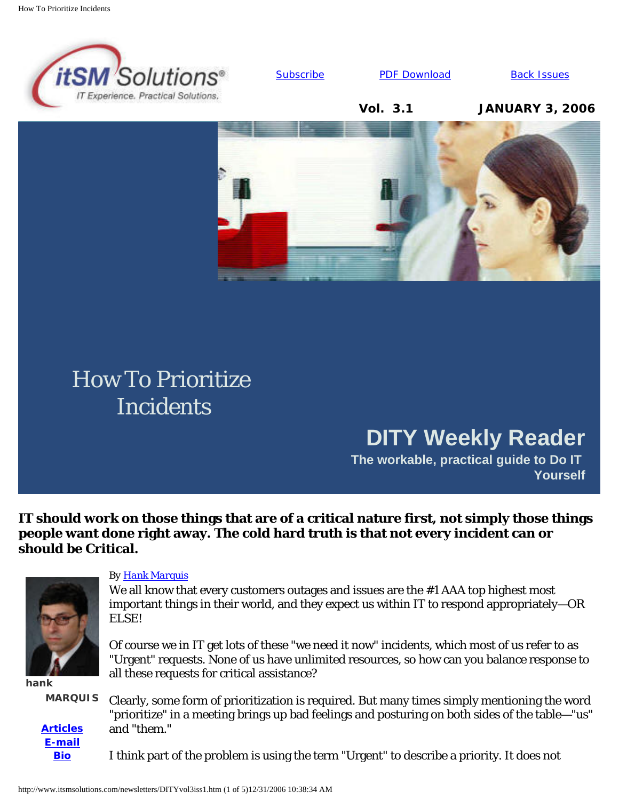

[Subscribe](http://www.itsmsolutions.com/newsletters/DITY.htm#signup) **[PDF Download](http://www.itsmsolutions.com/newsletters/DITYvol3iss1.pdf)** [Back Issues](http://www.itsmsolutions.com/newsletters/DITY.htm)

**Vol. 3.1 JANUARY 3, 2006**



# How To Prioritize **Incidents**

# **DITY Weekly Reader**

**The workable, practical guide to Do IT Yourself**

**IT should work on those things that are of a critical nature first, not simply those things people want done right away. The cold hard truth is that not every incident can or should be Critical.**



**hank**

**MARQUIS**

**[Articles](http://www.itsmsolutions.com/newsletters/DITY.htm) [E-mail](mailto:hank.marquis@itsmsolutions.com) [Bio](http://www.itsmsolutions.com/page3.html#hank)**

### *By [Hank Marquis](mailto:hank.marquis@itsmsolutions.com)*

We all know that every customers outages and issues are the #1 AAA top highest most important things in their world, and they expect us within IT to respond appropriately—OR ELSE!

Of course we in IT get lots of these "we need it now" incidents, which most of us refer to as "Urgent" requests. None of us have unlimited resources, so how can you balance response to all these requests for critical assistance?

Clearly, some form of prioritization is required. But many times simply mentioning the word "prioritize" in a meeting brings up bad feelings and posturing on both sides of the table—"us" and "them."

I think part of the problem is using the term "Urgent" to describe a priority. It does not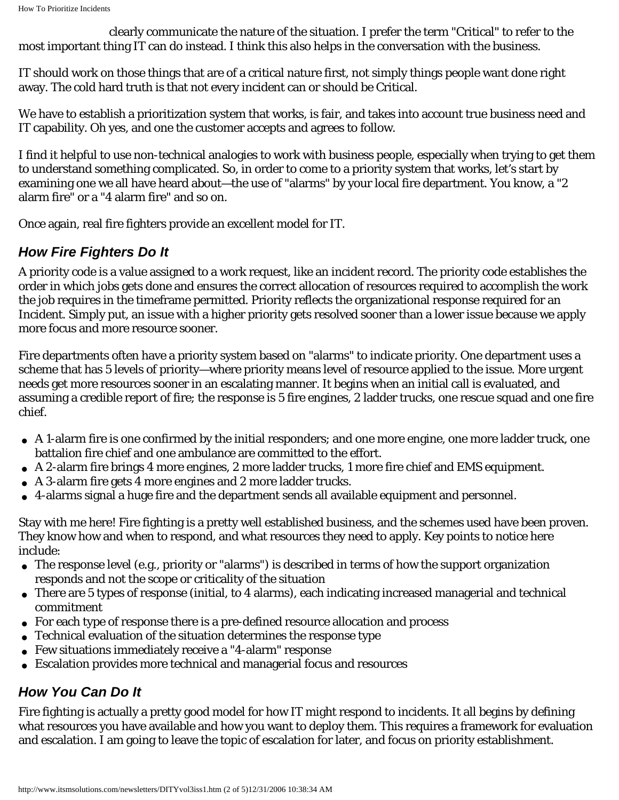clearly communicate the nature of the situation. I prefer the term "Critical" to refer to the most important thing IT can do instead. I think this also helps in the conversation with the business.

IT should work on those things that are of a critical nature first, not simply things people want done right away. The cold hard truth is that not every incident can or should be Critical.

We have to establish a prioritization system that works, is fair, and takes into account true business need and IT capability. Oh yes, and one the customer accepts and agrees to follow.

I find it helpful to use non-technical analogies to work with business people, especially when trying to get them to understand something complicated. So, in order to come to a priority system that works, let's start by examining one we all have heard about—the use of "alarms" by your local fire department. You know, a "2 alarm fire" or a "4 alarm fire" and so on.

Once again, real fire fighters provide an excellent model for IT.

## *How Fire Fighters Do It*

A priority code is a value assigned to a work request, like an incident record. The priority code establishes the order in which jobs gets done and ensures the correct allocation of resources required to accomplish the work the job requires in the timeframe permitted. Priority reflects the organizational response required for an Incident. Simply put, an issue with a higher priority gets resolved sooner than a lower issue because we apply more focus and more resource sooner.

Fire departments often have a priority system based on "alarms" to indicate priority. One department uses a scheme that has 5 levels of priority—where priority means level of resource applied to the issue. More urgent needs get more resources sooner in an escalating manner. It begins when an initial call is evaluated, and assuming a credible report of fire; the response is 5 fire engines, 2 ladder trucks, one rescue squad and one fire chief.

- A 1-alarm fire is one confirmed by the initial responders; and one more engine, one more ladder truck, one battalion fire chief and one ambulance are committed to the effort.
- A 2-alarm fire brings 4 more engines, 2 more ladder trucks, 1 more fire chief and EMS equipment.
- A 3-alarm fire gets 4 more engines and 2 more ladder trucks.
- 4-alarms signal a huge fire and the department sends all available equipment and personnel.

Stay with me here! Fire fighting is a pretty well established business, and the schemes used have been proven. They know how and when to respond, and what resources they need to apply. Key points to notice here include:

- The response level (e.g., priority or "alarms") is described in terms of how the support organization responds and not the scope or criticality of the situation
- There are 5 types of response (initial, to 4 alarms), each indicating increased managerial and technical commitment
- For each type of response there is a pre-defined resource allocation and process
- Technical evaluation of the situation determines the response type
- Few situations immediately receive a "4-alarm" response
- Escalation provides more technical and managerial focus and resources

## *How You Can Do It*

Fire fighting is actually a pretty good model for how IT might respond to incidents. It all begins by defining what resources you have available and how you want to deploy them. This requires a framework for evaluation and escalation. I am going to leave the topic of escalation for later, and focus on priority establishment.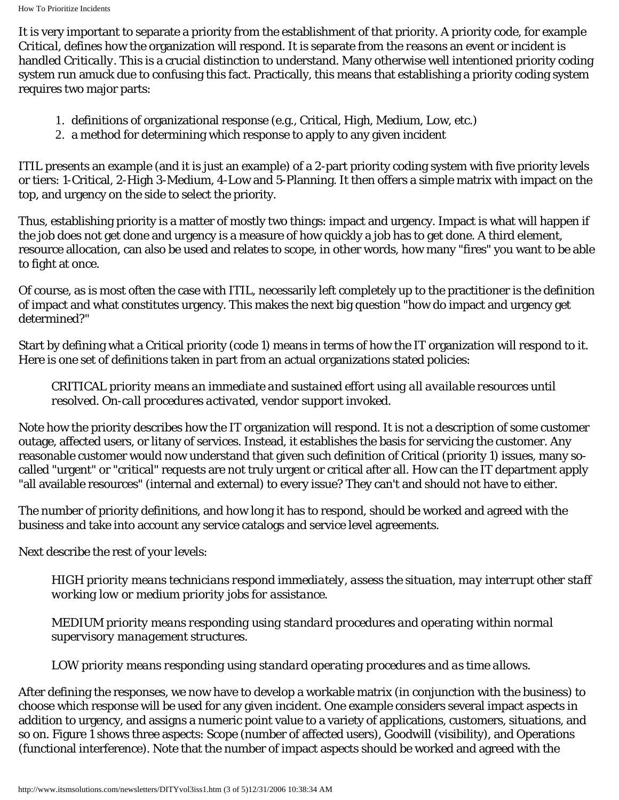It is very important to separate a priority from the establishment of that priority. A priority code, for example *Critical*, defines how the organization will respond. It is separate from the *reasons* an event or incident is handled *Critically*. This is a crucial distinction to understand. Many otherwise well intentioned priority coding system run amuck due to confusing this fact. Practically, this means that establishing a priority coding system requires two major parts:

- 1. definitions of organizational response (e.g., Critical, High, Medium, Low, etc.)
- 2. a method for determining which response to apply to any given incident

ITIL presents an example (and it is just an example) of a 2-part priority coding system with five priority levels or tiers: 1-Critical, 2-High 3-Medium, 4-Low and 5-Planning. It then offers a simple matrix with impact on the top, and urgency on the side to select the priority.

Thus, establishing priority is a matter of mostly two things: impact and urgency. Impact is what will happen if the job does not get done and urgency is a measure of how quickly a job has to get done. A third element, resource allocation, can also be used and relates to scope, in other words, how many "fires" you want to be able to fight at once.

Of course, as is most often the case with ITIL, necessarily left completely up to the practitioner is the definition of impact and what constitutes urgency. This makes the next big question "how do impact and urgency get determined?"

Start by defining what a Critical priority (code 1) means in terms of how the IT organization will respond to it. Here is one set of definitions taken in part from an actual organizations stated policies:

*CRITICAL priority means an immediate and sustained effort using all available resources until resolved. On-call procedures activated, vendor support invoked.* 

Note how the priority describes how the IT organization will respond. It is not a description of some customer outage, affected users, or litany of services. Instead, it establishes the basis for servicing the customer. Any reasonable customer would now understand that given such definition of Critical (priority 1) issues, many socalled "urgent" or "critical" requests are not truly urgent or critical after all. How can the IT department apply "all available resources" (internal and external) to every issue? They can't and should not have to either.

The number of priority definitions, and how long it has to respond, should be worked and agreed with the business and take into account any service catalogs and service level agreements.

Next describe the rest of your levels:

*HIGH priority means technicians respond immediately, assess the situation, may interrupt other staff working low or medium priority jobs for assistance.*

*MEDIUM priority means responding using standard procedures and operating within normal supervisory management structures.* 

*LOW priority means responding using standard operating procedures and as time allows.* 

After defining the responses, we now have to develop a workable matrix (in conjunction with the business) to choose which response will be used for any given incident. One example considers several impact aspects in addition to urgency, and assigns a numeric point value to a variety of applications, customers, situations, and so on. Figure 1 shows three aspects: Scope (number of affected users), Goodwill (visibility), and Operations (functional interference). Note that the number of impact aspects should be worked and agreed with the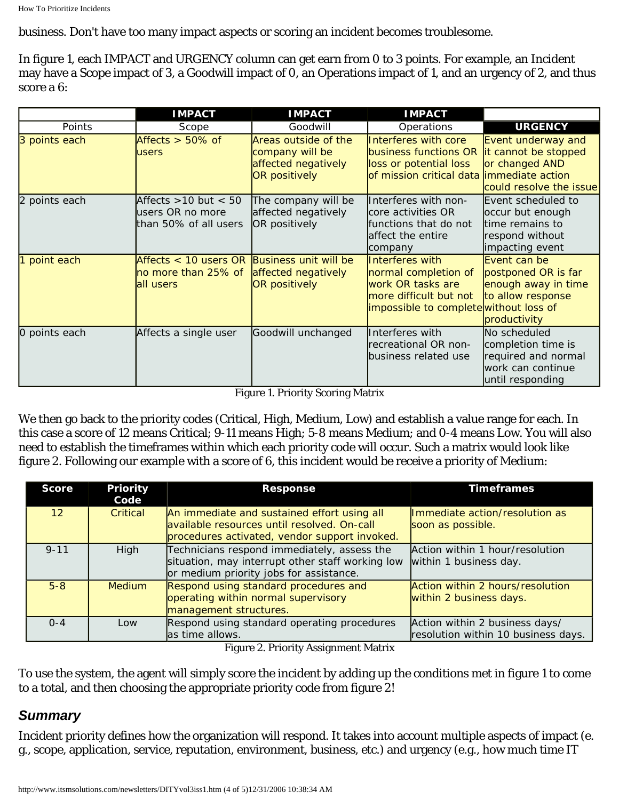business. Don't have too many impact aspects or scoring an incident becomes troublesome.

In figure 1, each IMPACT and URGENCY column can get earn from 0 to 3 points. For example, an Incident may have a Scope impact of 3, a Goodwill impact of 0, an Operations impact of 1, and an urgency of 2, and thus score a 6:

|               | <b>IMPACT</b>                                                                   | <b>IMPACT</b>                                                                   | <b>IMPACT</b>                                                                                                                   |                                                                                                    |
|---------------|---------------------------------------------------------------------------------|---------------------------------------------------------------------------------|---------------------------------------------------------------------------------------------------------------------------------|----------------------------------------------------------------------------------------------------|
| Points        | Scope                                                                           | Goodwill                                                                        | Operations                                                                                                                      | <b>URGENCY</b>                                                                                     |
| 3 points each | Affects $> 50\%$ of<br>users                                                    | Areas outside of the<br>company will be<br>affected negatively<br>OR positively | Interferes with core<br>business functions OR<br>loss or potential loss<br>of mission critical data immediate action            | Event underway and<br>it cannot be stopped<br>or changed AND<br>could resolve the issue            |
| 2 points each | Affects $>10$ but $< 50$<br>users OR no more<br>than 50% of all users           | The company will be<br>affected negatively<br>OR positively                     | Interferes with non-<br>core activities OR<br>functions that do not<br>affect the entire<br>company                             | Event scheduled to<br>occur but enough<br>time remains to<br>respond without<br>impacting event    |
| point each    | Affects < 10 users OR Business unit will be<br>no more than 25% of<br>all users | affected negatively<br>OR positively                                            | Interferes with<br>normal completion of<br>work OR tasks are<br>more difficult but not<br>impossible to completewithout loss of | Event can be<br>postponed OR is far<br>enough away in time<br>to allow response<br>productivity    |
| O points each | Affects a single user                                                           | Goodwill unchanged                                                              | Interferes with<br>recreational OR non-<br>business related use                                                                 | No scheduled<br>completion time is<br>required and normal<br>work can continue<br>until responding |

Figure 1. Priority Scoring Matrix

We then go back to the priority codes (Critical, High, Medium, Low) and establish a value range for each. In this case a score of 12 means Critical; 9-11 means High; 5-8 means Medium; and 0-4 means Low. You will also need to establish the timeframes within which each priority code will occur. Such a matrix would look like figure 2. Following our example with a score of 6, this incident would be receive a priority of Medium:

| <b>Score</b>      | <b>Priority</b><br>Code | <b>Response</b>                                                                                                                             | <b>Timeframes</b>                                                     |
|-------------------|-------------------------|---------------------------------------------------------------------------------------------------------------------------------------------|-----------------------------------------------------------------------|
| $12 \overline{ }$ | Critical                | An immediate and sustained effort using all<br>available resources until resolved. On-call<br>procedures activated, vendor support invoked. | Immediate action/resolution as<br>soon as possible.                   |
| $9 - 11$          | High                    | Technicians respond immediately, assess the<br>situation, may interrupt other staff working low<br>or medium priority jobs for assistance.  | Action within 1 hour/resolution<br>within 1 business day.             |
| $5 - 8$           | <b>Medium</b>           | Respond using standard procedures and<br>operating within normal supervisory<br>management structures.                                      | Action within 2 hours/resolution<br>within 2 business days.           |
| $O - 4$           | Low                     | Respond using standard operating procedures<br>as time allows.                                                                              | Action within 2 business days/<br>resolution within 10 business days. |

Figure 2. Priority Assignment Matrix

To use the system, the agent will simply score the incident by adding up the conditions met in figure 1 to come to a total, and then choosing the appropriate priority code from figure 2!

### *Summary*

Incident priority defines how the organization will respond. It takes into account multiple aspects of impact (e. g., scope, application, service, reputation, environment, business, etc.) and urgency (e.g., how much time IT